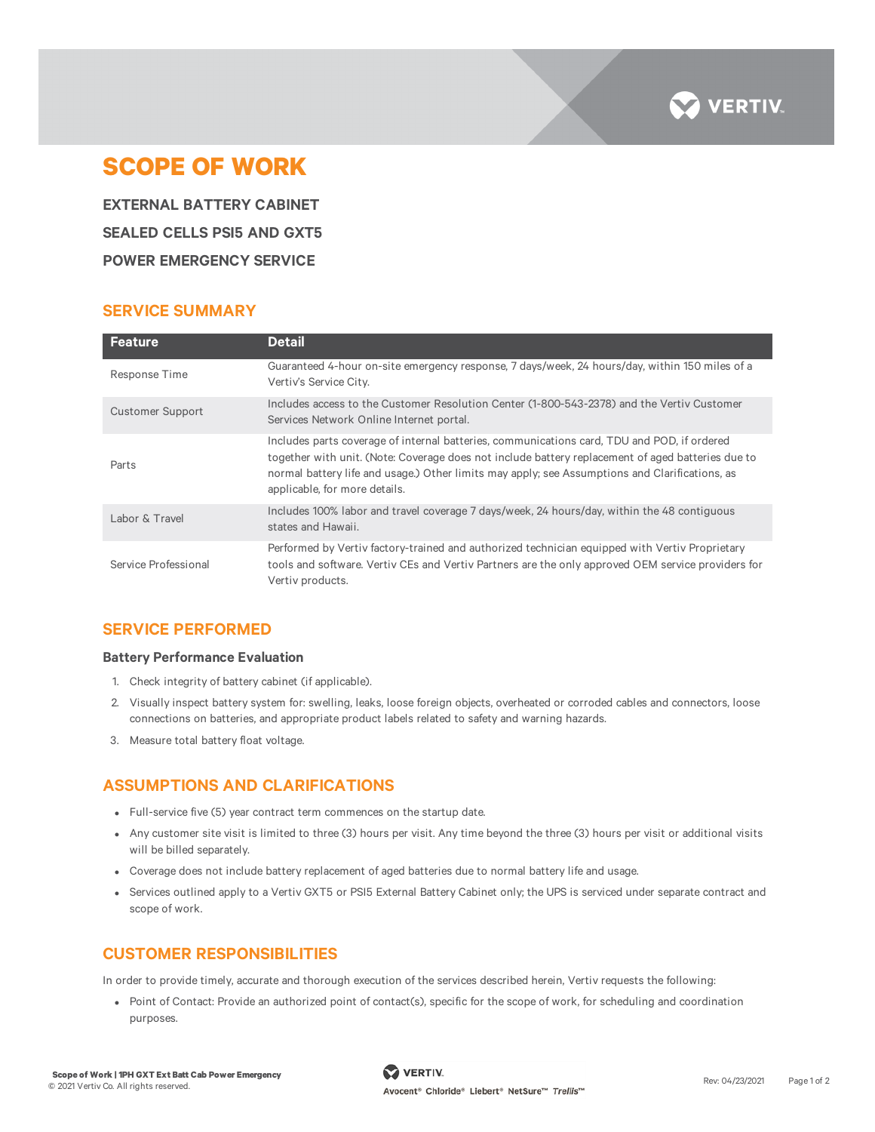

# **SCOPE OF WORK**

**EXTERNAL BATTERY CABINET SEALED CELLS PSI5 AND GXT5 POWER EMERGENCY SERVICE**

## **SERVICE SUMMARY**

| <b>Feature</b>       | <b>Detail</b>                                                                                                                                                                                                                                                                                                                       |
|----------------------|-------------------------------------------------------------------------------------------------------------------------------------------------------------------------------------------------------------------------------------------------------------------------------------------------------------------------------------|
| Response Time        | Guaranteed 4-hour on-site emergency response, 7 days/week, 24 hours/day, within 150 miles of a<br>Vertiv's Service City.                                                                                                                                                                                                            |
| Customer Support     | Includes access to the Customer Resolution Center (1-800-543-2378) and the Vertiv Customer<br>Services Network Online Internet portal.                                                                                                                                                                                              |
| Parts                | Includes parts coverage of internal batteries, communications card, TDU and POD, if ordered<br>together with unit. (Note: Coverage does not include battery replacement of aged batteries due to<br>normal battery life and usage.) Other limits may apply; see Assumptions and Clarifications, as<br>applicable, for more details. |
| Labor & Travel       | Includes 100% labor and travel coverage 7 days/week, 24 hours/day, within the 48 contiguous<br>states and Hawaii.                                                                                                                                                                                                                   |
| Service Professional | Performed by Vertiv factory-trained and authorized technician equipped with Vertiv Proprietary<br>tools and software. Vertiv CEs and Vertiv Partners are the only approved OEM service providers for<br>Vertiv products.                                                                                                            |

### **SERVICE PERFORMED**

#### **Battery Performance Evaluation**

- 1. Check integrity of battery cabinet (if applicable).
- 2. Visually inspect battery system for: swelling, leaks, loose foreign objects, overheated or corroded cables and connectors, loose connections on batteries, and appropriate product labels related to safety and warning hazards.
- 3. Measure total battery float voltage.

# **ASSUMPTIONS AND CLARIFICATIONS**

- Full-service five (5) year contract term commences on the startup date.
- Any customer site visit is limited to three (3) hours per visit. Any time beyond the three (3) hours per visit or additional visits will be billed separately.
- Coverage does not include battery replacement of aged batteries due to normal battery life and usage.
- Services outlined apply to a Vertiv GXT5 or PSI5 External Battery Cabinet only; the UPS is serviced under separate contract and scope of work.

### **CUSTOMER RESPONSIBILITIES**

In order to provide timely, accurate and thorough execution of the services described herein, Vertiv requests the following:

• Point of Contact: Provide an authorized point of contact(s), specific for the scope of work, for scheduling and coordination purposes.